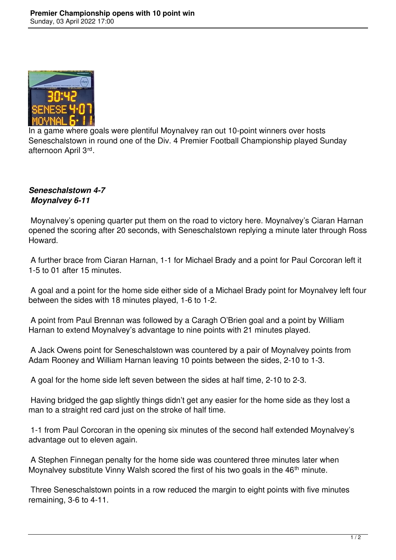

In a game where goals were plentiful Moynalvey ran out 10-point winners over hosts Seneschalstown in round one of the Div. 4 Premier Football Championship played Sunday afternoon April 3rd .

## *Seneschalstown 4-7 Moynalvey 6-11*

 Moynalvey's opening quarter put them on the road to victory here. Moynalvey's Ciaran Harnan opened the scoring after 20 seconds, with Seneschalstown replying a minute later through Ross Howard.

 A further brace from Ciaran Harnan, 1-1 for Michael Brady and a point for Paul Corcoran left it 1-5 to 01 after 15 minutes.

 A goal and a point for the home side either side of a Michael Brady point for Moynalvey left four between the sides with 18 minutes played, 1-6 to 1-2.

 A point from Paul Brennan was followed by a Caragh O'Brien goal and a point by William Harnan to extend Moynalvey's advantage to nine points with 21 minutes played.

 A Jack Owens point for Seneschalstown was countered by a pair of Moynalvey points from Adam Rooney and William Harnan leaving 10 points between the sides, 2-10 to 1-3.

A goal for the home side left seven between the sides at half time, 2-10 to 2-3.

 Having bridged the gap slightly things didn't get any easier for the home side as they lost a man to a straight red card just on the stroke of half time.

 1-1 from Paul Corcoran in the opening six minutes of the second half extended Moynalvey's advantage out to eleven again.

 A Stephen Finnegan penalty for the home side was countered three minutes later when Moynalvey substitute Vinny Walsh scored the first of his two goals in the 46<sup>th</sup> minute.

 Three Seneschalstown points in a row reduced the margin to eight points with five minutes remaining, 3-6 to 4-11.